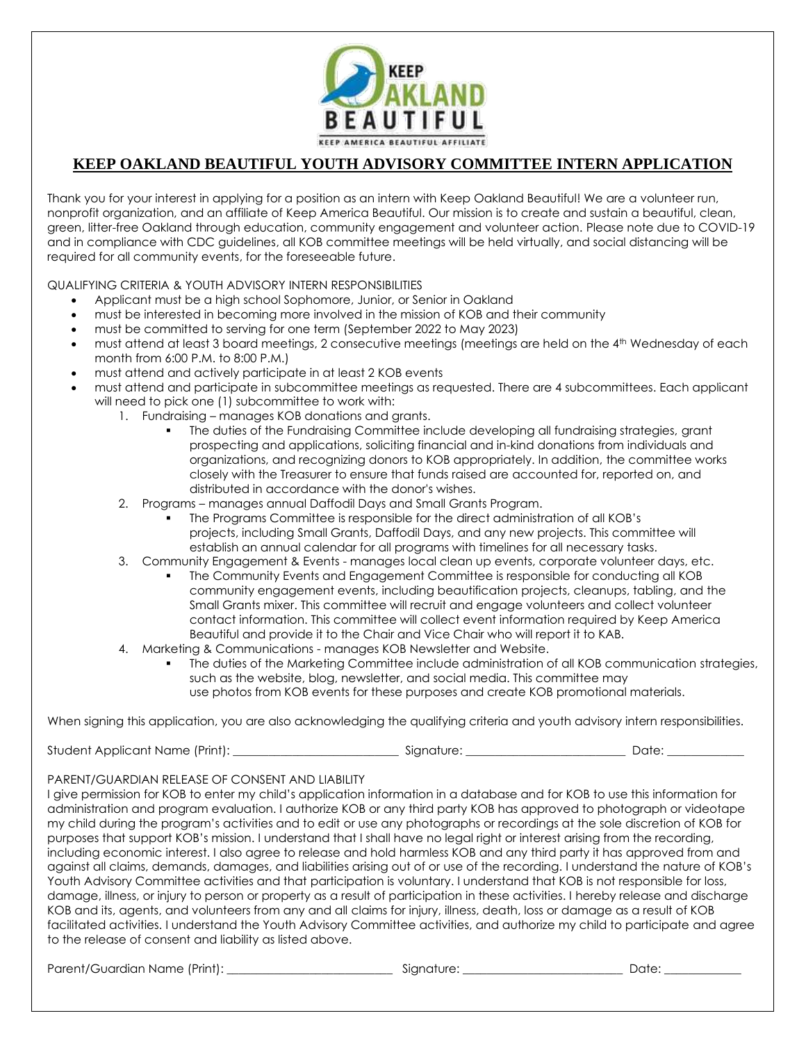

## **KEEP OAKLAND BEAUTIFUL YOUTH ADVISORY COMMITTEE INTERN APPLICATION**

Thank you for your interest in applying for a position as an intern with Keep Oakland Beautiful! We are a volunteer run, nonprofit organization, and an affiliate of Keep America Beautiful. Our mission is to create and sustain a beautiful, clean, green, litter-free Oakland through education, community engagement and volunteer action. Please note due to COVID-19 and in compliance with CDC guidelines, all KOB committee meetings will be held virtually, and social distancing will be required for all community events, for the foreseeable future.

QUALIFYING CRITERIA & YOUTH ADVISORY INTERN RESPONSIBILITIES

- Applicant must be a high school Sophomore, Junior, or Senior in Oakland
- must be interested in becoming more involved in the mission of KOB and their community
- must be committed to serving for one term (September 2022 to May 2023)
- must attend at least 3 board meetings, 2 consecutive meetings (meetings are held on the 4th Wednesday of each month from 6:00 P.M. to 8:00 P.M.)
- must attend and actively participate in at least 2 KOB events
- must attend and participate in subcommittee meetings as requested. There are 4 subcommittees. Each applicant will need to pick one (1) subcommittee to work with:
	- 1. Fundraising manages KOB donations and grants.
		- The duties of the Fundraising Committee include developing all fundraising strategies, grant prospecting and applications, soliciting financial and in-kind donations from individuals and organizations, and recognizing donors to KOB appropriately. In addition, the committee works closely with the Treasurer to ensure that funds raised are accounted for, reported on, and distributed in accordance with the donor's wishes.
	- 2. Programs manages annual Daffodil Days and Small Grants Program.
		- The Programs Committee is responsible for the direct administration of all KOB's projects, including Small Grants, Daffodil Days, and any new projects. This committee will establish an annual calendar for all programs with timelines for all necessary tasks.
	- 3. Community Engagement & Events manages local clean up events, corporate volunteer days, etc.
		- The Community Events and Engagement Committee is responsible for conducting all KOB community engagement events, including beautification projects, cleanups, tabling, and the Small Grants mixer. This committee will recruit and engage volunteers and collect volunteer contact information. This committee will collect event information required by Keep America Beautiful and provide it to the Chair and Vice Chair who will report it to KAB.
	- 4. Marketing & Communications manages KOB Newsletter and Website.
		- The duties of the Marketing Committee include administration of all KOB communication strategies, such as the website, blog, newsletter, and social media. This committee may use photos from KOB events for these purposes and create KOB promotional materials.

When signing this application, you are also acknowledging the qualifying criteria and youth advisory intern responsibilities.

Student Applicant Name (Print): \_\_\_\_\_\_\_\_\_\_\_\_\_\_\_\_\_\_\_\_\_\_\_\_\_\_\_\_ Signature: \_\_\_\_\_\_\_\_\_\_\_\_\_\_\_\_\_\_\_\_\_\_\_\_\_\_\_ Date: \_\_\_\_\_\_\_\_\_\_\_\_\_

PARENT/GUARDIAN RELEASE OF CONSENT AND LIABILITY

I give permission for KOB to enter my child's application information in a database and for KOB to use this information for administration and program evaluation. I authorize KOB or any third party KOB has approved to photograph or videotape my child during the program's activities and to edit or use any photographs or recordings at the sole discretion of KOB for purposes that support KOB's mission. I understand that I shall have no legal right or interest arising from the recording, including economic interest. I also agree to release and hold harmless KOB and any third party it has approved from and against all claims, demands, damages, and liabilities arising out of or use of the recording. I understand the nature of KOB's Youth Advisory Committee activities and that participation is voluntary. I understand that KOB is not responsible for loss, damage, illness, or injury to person or property as a result of participation in these activities. I hereby release and discharge KOB and its, agents, and volunteers from any and all claims for injury, illness, death, loss or damage as a result of KOB facilitated activities. I understand the Youth Advisory Committee activities, and authorize my child to participate and agree to the release of consent and liability as listed above.

Parent/Guardian Name (Print): \_\_\_\_\_\_\_\_\_\_\_\_\_\_\_\_\_\_\_\_\_\_\_\_\_\_\_\_ Signature: \_\_\_\_\_\_\_\_\_\_\_\_\_\_\_\_\_\_\_\_\_\_\_\_\_\_\_ Date: \_\_\_\_\_\_\_\_\_\_\_\_\_